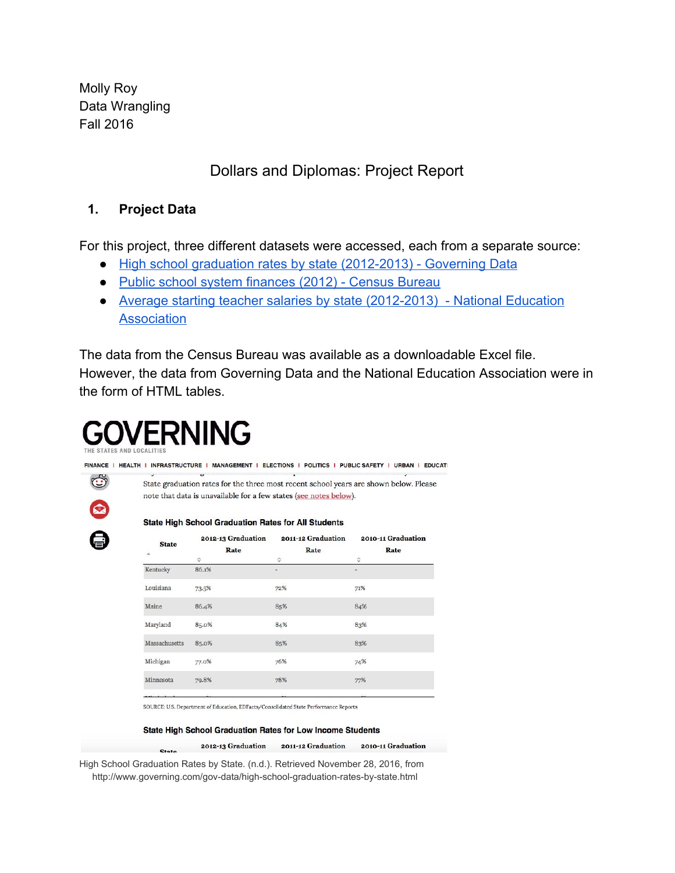Molly Roy Data Wrangling Fall 2016

# Dollars and Diplomas: Project Report

## **1. Project Data**

For this project, three different datasets were accessed, each from a separate source:

- [High school graduation rates by state \(2012-2013\) Governing Data](http://www.governing.com/gov-data/high-school-graduation-rates-by-state.html)
- [Public school system finances \(2012\) Census Bureau](https://www.census.gov/govs/school/historical_data_2012.html)
- [Average starting teacher salaries by state \(2012-2013\) National Education](http://www.nea.org/home/2012-2013-average-starting-teacher-salary.html) [Association](http://www.nea.org/home/2012-2013-average-starting-teacher-salary.html)

The data from the Census Bureau was available as a downloadable Excel file. However, the data from Governing Data and the National Education Association were in the form of HTML tables.

# **OVERNING**

 $C_{\text{total}}$ 

FINANCE | HEALTH | INFRASTRUCTURE | MANAGEMENT | ELECTIONS | POLITICS | PUBLIC SAFETY | URBAN | EDUCATI

|               | <b>State High School Graduation Rates for All Students</b> |                               |                            |
|---------------|------------------------------------------------------------|-------------------------------|----------------------------|
| <b>State</b>  | 2012-13 Graduation<br>Rate                                 | 2011-12 Graduation<br>Rate    | 2010-11 Graduation<br>Rate |
| Kentucky      | ≎<br>86.1%                                                 | ≎<br>$\overline{\phantom{a}}$ | ≎                          |
| Louisiana     | 73.5%                                                      | 72%                           | 71%                        |
| Maine         | 86.4%                                                      | 85%                           | 84%                        |
| Maryland      | 85.0%                                                      | 84%                           | 83%                        |
| Massachusetts | 85.0%                                                      | 85%                           | 83%                        |
| Michigan      | 77.0%                                                      | 76%                           | 74%                        |
| Minnesota     | 79.8%                                                      | 78%                           | 77%                        |
|               |                                                            |                               |                            |

State High School Graduation Rates for Low Income Students

2012-13 Graduation 2011-12 Graduation 2010-11 Graduation

High School Graduation Rates by State. (n.d.). Retrieved November 28, 2016, from http://www.governing.com/gov-data/high-school-graduation-rates-by-state.html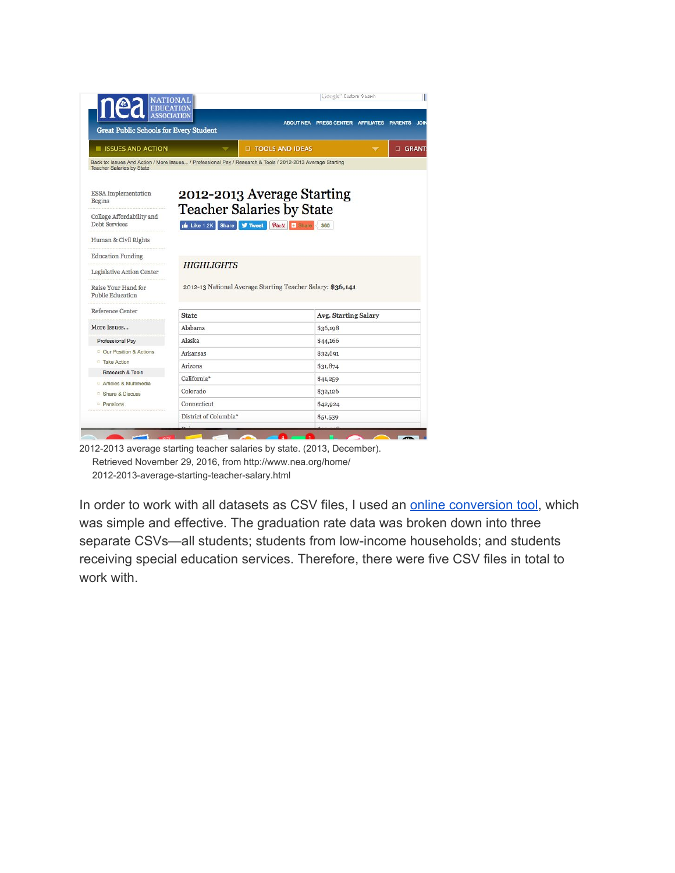| $ {\bf P} $<br>EDUCATION<br>ASSOCIATION<br><b>Great Public Schools for Every Student</b>                                                        |                                      | <b>ABOUT NEA</b>                                                                  | Google" Custom Search<br>PRESS CENTER AFFILIATES | <b>PARENTS JOIN</b> |
|-------------------------------------------------------------------------------------------------------------------------------------------------|--------------------------------------|-----------------------------------------------------------------------------------|--------------------------------------------------|---------------------|
| <b>ELISSUES AND ACTION</b>                                                                                                                      |                                      | <b>II TOOLS AND IDEAS</b>                                                         |                                                  | <b>CI GRANT</b>     |
| Back to: Issues And Action / More Issues / Professional Pay / Research & Tools / 2012-2013 Average Starting<br><b>Teacher Salaries by State</b> |                                      |                                                                                   |                                                  |                     |
| <b>ESSA</b> Implementation<br><b>Begins</b><br>College Affordability and<br>Debt Services                                                       | Like 1.2K Share <b>W</b> Tweet       | 2012-2013 Average Starting<br><b>Teacher Salaries by State</b><br>$Pinit$ + Share | 360                                              |                     |
| Human & Civil Rights                                                                                                                            |                                      |                                                                                   |                                                  |                     |
| <b>Education Funding</b>                                                                                                                        |                                      |                                                                                   |                                                  |                     |
|                                                                                                                                                 | <b>HIGHLIGHTS</b>                    |                                                                                   |                                                  |                     |
| Legislative Action Center                                                                                                                       |                                      |                                                                                   |                                                  |                     |
| Raise Your Hand for<br><b>Public Education</b>                                                                                                  |                                      | 2012-13 National Average Starting Teacher Salary: \$36,141                        |                                                  |                     |
| Reference Center                                                                                                                                | <b>State</b>                         |                                                                                   | <b>Avg. Starting Salary</b>                      |                     |
| More Issues                                                                                                                                     | Alabama                              |                                                                                   | \$36,198                                         |                     |
| Professional Pay                                                                                                                                | Alaska                               |                                                                                   | \$44,166                                         |                     |
| <sup>□</sup> Our Position & Actions                                                                                                             | Arkansas                             |                                                                                   | \$32,691                                         |                     |
| <sup>D</sup> Take Action                                                                                                                        | Arizona                              |                                                                                   |                                                  |                     |
| Research & Tools                                                                                                                                | California*                          |                                                                                   | \$31,874                                         |                     |
| Articles & Multimedia                                                                                                                           |                                      |                                                                                   | \$41,259                                         |                     |
| <sup>D</sup> Share & Discuss                                                                                                                    | Colorado                             |                                                                                   | \$32,126                                         |                     |
| <b>Pensions</b>                                                                                                                                 | Connecticut<br>District of Columbia* |                                                                                   | \$42,924<br>\$51,539                             |                     |

2012-2013 average starting teacher salaries by state. (2013, December). Retrieved November 29, 2016, from http://www.nea.org/home/ 2012-2013-average-starting-teacher-salary.html

In order to work with all datasets as CSV files, I used an **[online conversion tool](http://www.convertcsv.com/html-table-to-csv.htm)**, which was simple and effective. The graduation rate data was broken down into three separate CSVs—all students; students from low-income households; and students receiving special education services. Therefore, there were five CSV files in total to work with.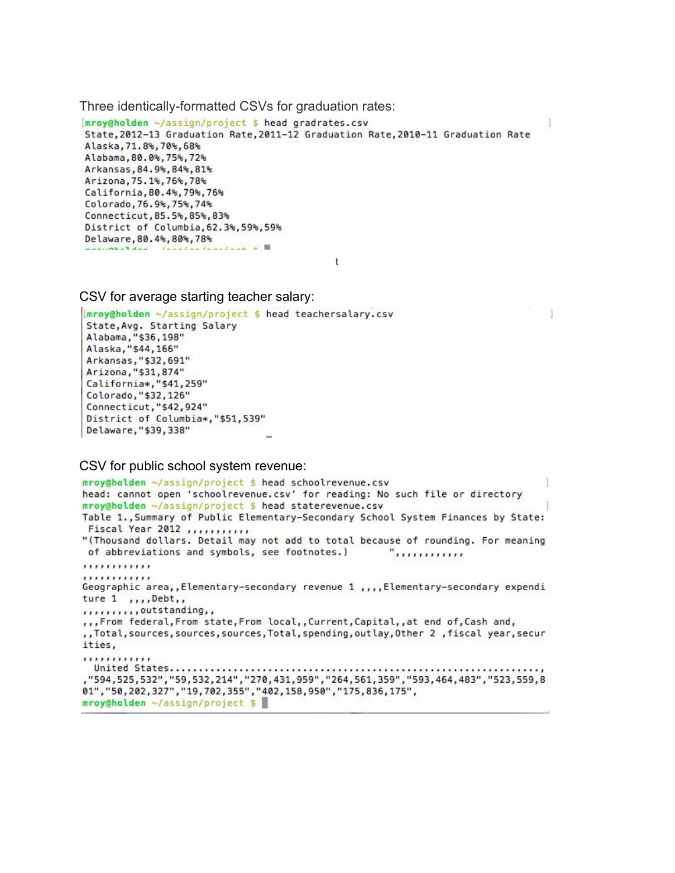Three identically-formatted CSVs for graduation rates:

[mroy@holden ~/assign/project \$ head gradrates.csv State, 2012-13 Graduation Rate, 2011-12 Graduation Rate, 2010-11 Graduation Rate Alaska, 71.8%, 70%, 68% Alabama, 80.0%, 75%, 72% Arkansas, 84.9%, 84%, 81% Arizona, 75.1%, 76%, 78% California, 80.4%, 79%, 76% Colorado, 76.9%, 75%, 74% Connecticut, 85.5%, 85%, 83% District of Columbia, 62.3%, 59%, 59% Delaware, 80.4%, 80%, 78%  $-166$   $-3$   $-1$ 

t

-1

CSV for average starting teacher salary:

[mroy@holden ~/assign/project \$ head teachersalary.csv State, Avg. Starting Salary Alabama, "\$36, 198" Alaska, "\$44, 166" Arkansas, "\$32,691" Arizona, "\$31,874" California\*, "\$41,259" Colorado, "\$32,126" Connecticut, "\$42,924" District of Columbia\*,"\$51,539" Delaware, "\$39,338"

CSV for public school system revenue:

```
mroy@holden ~/assign/project $ head schoolrevenue.csv
head: cannot open 'schoolrevenue.csv' for reading: No such file or directory
mroy@holden ~/assign/project $ head staterevenue.csv
Table 1., Summary of Public Elementary-Secondary School System Finances by State:
Fiscal Year 2012 ............
"(Thousand dollars. Detail may not add to total because of rounding. For meaning
of abbreviations and symbols, see footnotes.)
                                                  ",,,,,,,,,,,,,
,,,,,,,,,,,,
,,,,,,,,,,,,
Geographic area, Elementary-secondary revenue 1,,, Elementary-secondary expendi
ture 1, \ldots, Debt,,
,,,,,,,,,,outstanding,,
,,,From federal,From state,From local,,Current,Capital,,at end of,Cash and,
,,Total,sources,sources,sources,Total,spending,outlay,Other 2 ,fiscal year,secur
ities,
,,,,,,,,,,,,
 "594, 525, 532", "59, 532, 214", "270, 431, 959", "264, 561, 359", "593, 464, 483", "523, 559, 8
01", "50, 202, 327", "19, 702, 355", "402, 158, 950", "175, 836, 175",
mroy@holden ~/assign/project $
```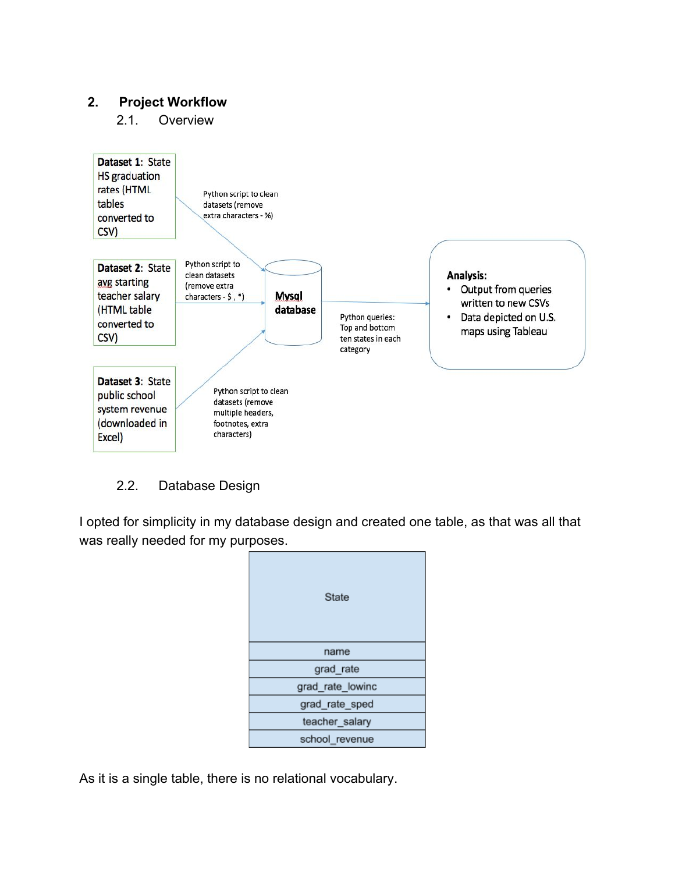# **2. Project Workflow**

2.1. Overview



### 2.2. Database Design

I opted for simplicity in my database design and created one table, as that was all that was really needed for my purposes.

| State            |
|------------------|
| name             |
| grad_rate        |
| grad_rate_lowinc |
| grad_rate_sped   |
| teacher_salary   |
| school revenue   |

As it is a single table, there is no relational vocabulary.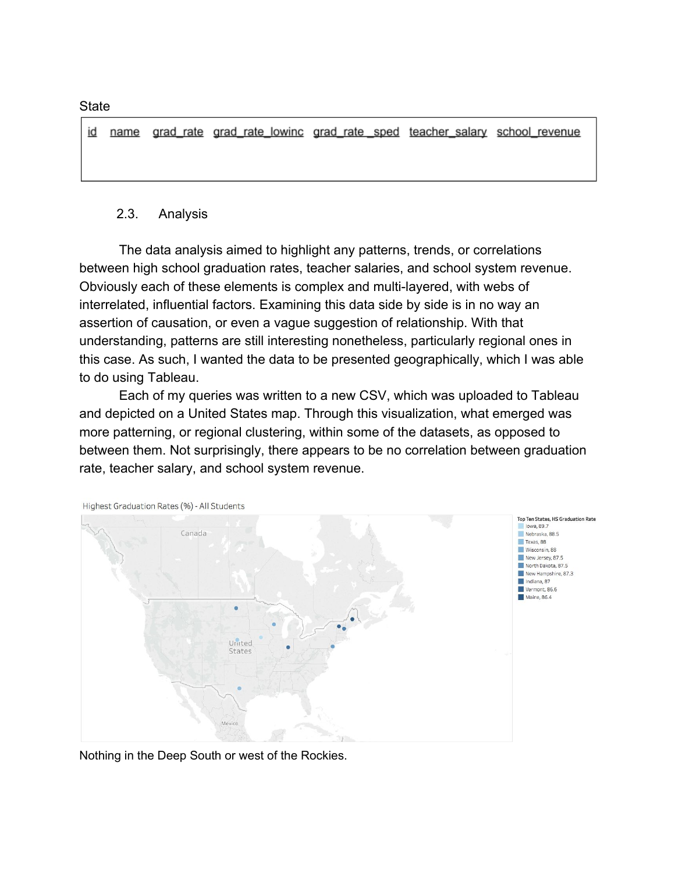id name grad rate grad rate lowinc grad rate sped teacher salary school revenue

#### 2.3. Analysis

The data analysis aimed to highlight any patterns, trends, or correlations between high school graduation rates, teacher salaries, and school system revenue. Obviously each of these elements is complex and multi-layered, with webs of interrelated, influential factors. Examining this data side by side is in no way an assertion of causation, or even a vague suggestion of relationship. With that understanding, patterns are still interesting nonetheless, particularly regional ones in this case. As such, I wanted the data to be presented geographically, which I was able to do using Tableau.

Each of my queries was written to a new CSV, which was uploaded to Tableau and depicted on a United States map. Through this visualization, what emerged was more patterning, or regional clustering, within some of the datasets, as opposed to between them. Not surprisingly, there appears to be no correlation between graduation rate, teacher salary, and school system revenue.



Highest Graduation Rates (%) - All Students

Nothing in the Deep South or west of the Rockies.

**State**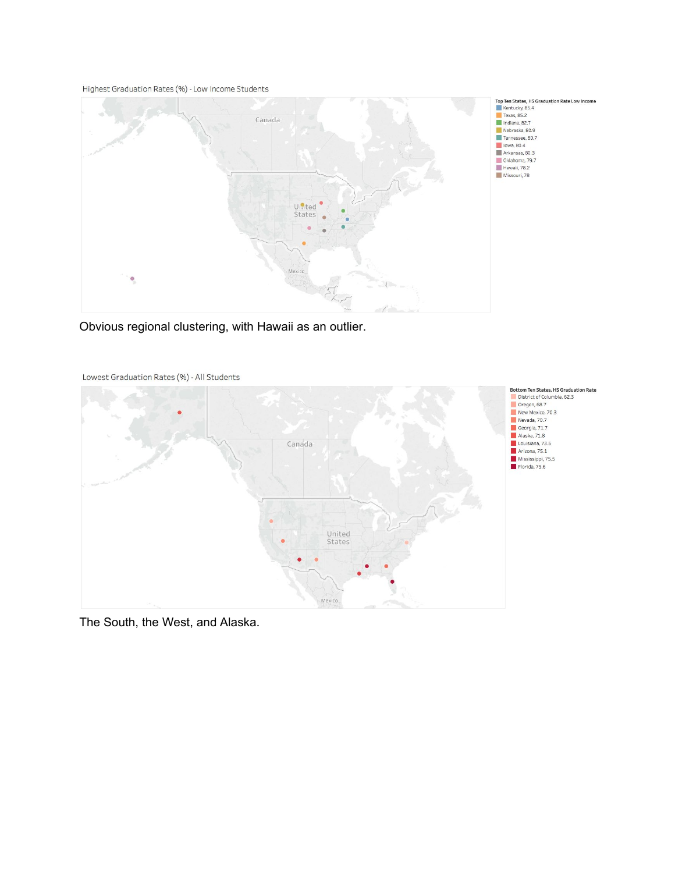Highest Graduation Rates (%) - Low Income Students



Obvious regional clustering, with Hawaii as an outlier.



Lowest Graduation Rates (%) - All Students

The South, the West, and Alaska.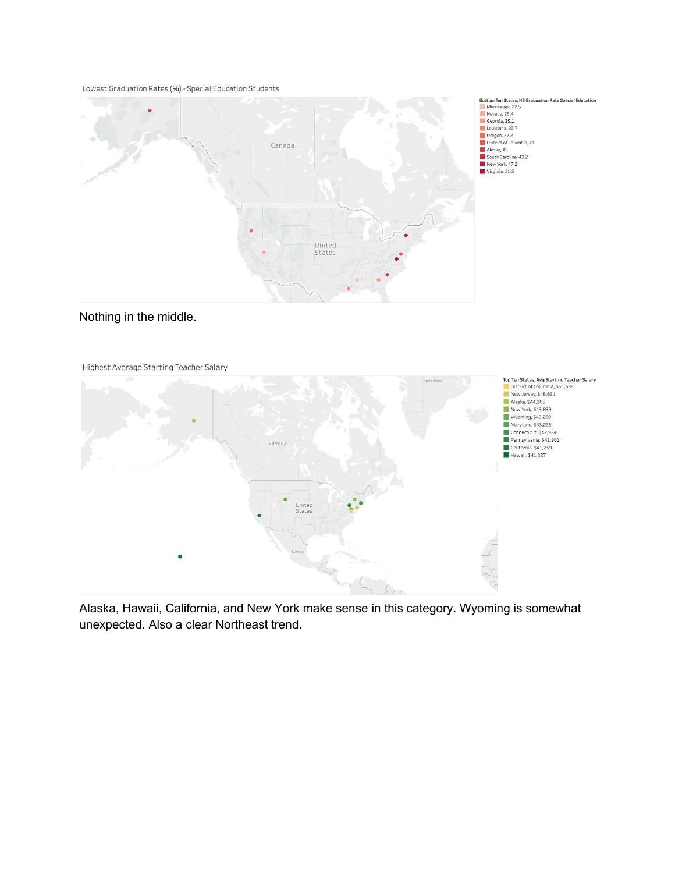Lowest Graduation Rates (%) - Special Education Students







Alaska, Hawaii, California, and New York make sense in this category. Wyoming is somewhat unexpected. Also a clear Northeast trend.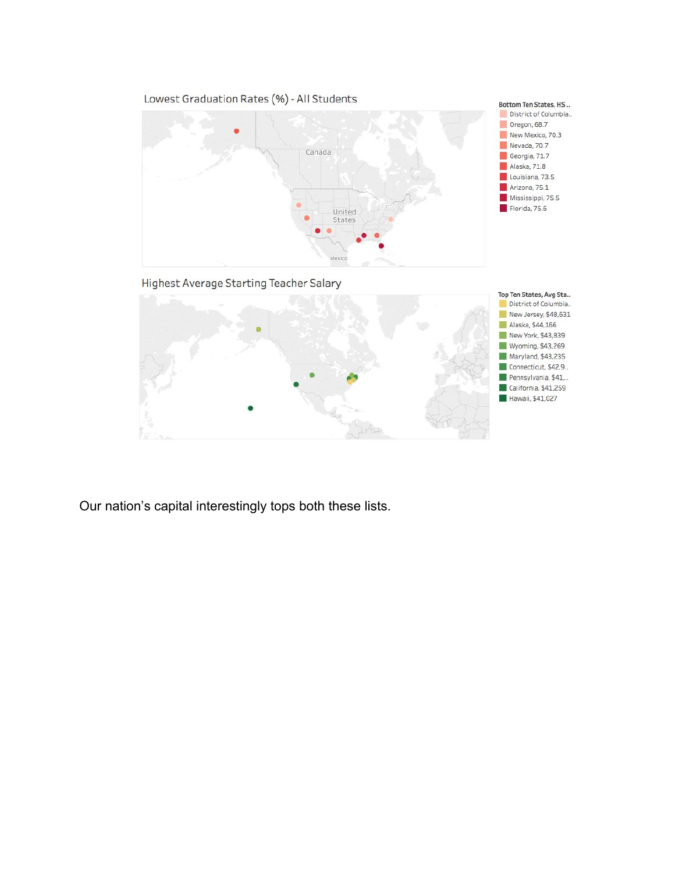

Connecticut, \$42,9.. Pennsylvania, \$41,.. California, \$41,259 Hawaii, \$41,027

Our nation's capital interestingly tops both these lists.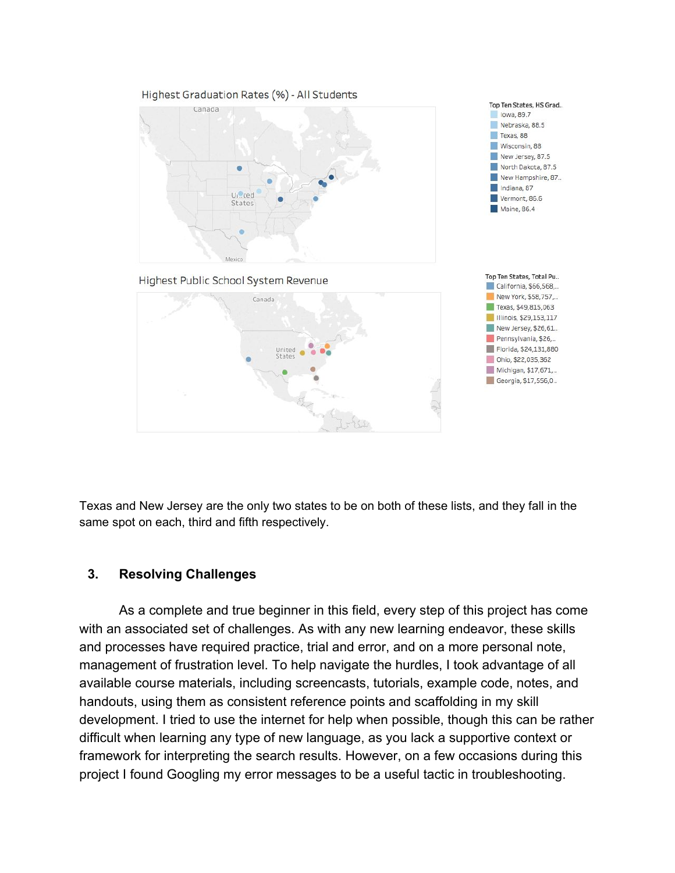

Texas and New Jersey are the only two states to be on both of these lists, and they fall in the same spot on each, third and fifth respectively.

#### **3. Resolving Challenges**

As a complete and true beginner in this field, every step of this project has come with an associated set of challenges. As with any new learning endeavor, these skills and processes have required practice, trial and error, and on a more personal note, management of frustration level. To help navigate the hurdles, I took advantage of all available course materials, including screencasts, tutorials, example code, notes, and handouts, using them as consistent reference points and scaffolding in my skill development. I tried to use the internet for help when possible, though this can be rather difficult when learning any type of new language, as you lack a supportive context or framework for interpreting the search results. However, on a few occasions during this project I found Googling my error messages to be a useful tactic in troubleshooting.